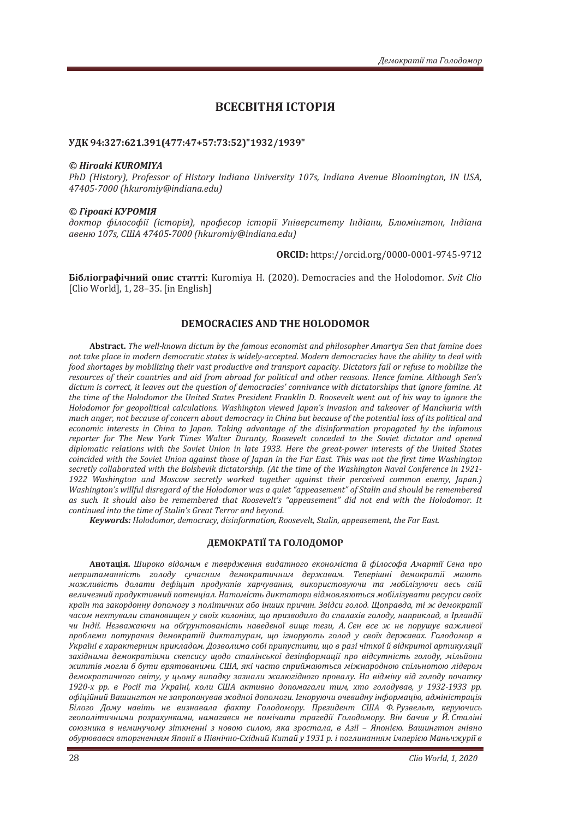# ВСЕСВІТНЯ ІСТОРІЯ

## УДК 94:327:621.391(477:47+57:73:52)"1932/1939"

#### *© Hiroaki KUROMIYA*

*PhD (History). Professor of History Indiana University 107s. Indiana Avenue Bloominaton. IN USA. 47405-7000 (hkuromiv*@indiana.edu)

#### *© ʒ˪˓ˑ˃ˍ˪ ʙʢʟʝʛʶʮ*

доктор філософії (історія), професор історії Університету Індіани, Блюмінгтон, Індіана  $\alpha$ веню 107s. США 47405-7000 (hkuromiv@indiana.edu)

**ORCID**: https://orcid.org/0000-0001-9745-9712

**Бібліографічний опис статті:** Kuromiya H. (2020). Democracies and the Holodomor. *Svit Clio* [Clio World], 1, 28–35. [in English]

## **DEMOCRACIES AND THE HOLODOMOR**

Abstract. The well-known dictum by the famous economist and philosopher Amartya Sen that famine does not take place in modern democratic states is widely-accepted. Modern democracies have the ability to deal with food shortages by mobilizing their vast productive and transport capacity. Dictators fail or refuse to mobilize the *resources of their countries and aid from abroad for political and other reasons. Hence famine. Although Sen's* dictum is correct, it leaves out the question of democracies' connivance with dictatorships that ignore famine. At the time of the Holodomor the United States President Franklin D. Roosevelt went out of his way to ignore the Holodomor for geopolitical calculations. Washington viewed Japan's invasion and takeover of Manchuria with *much anger, not because of concern about democracy in China but because of the potential loss of its political and* economic interests in China to Japan. Taking advantage of the disinformation propagated by the infamous reporter for The New York Times Walter Duranty, Roosevelt conceded to the Soviet dictator and opened *diplomatic relations with the Soviet Union in late 1933. Here the great-power interests of the United States* coincided with the Soviet Union against those of Japan in the Far East. This was not the first time Washington secretly collaborated with the Bolshevik dictatorship. (At the time of the Washington Naval Conference in 1921-1922 Washington and Moscow secretly worked together against their perceived common enemy, Japan.) Washington's willful disregard of the Holodomor was a quiet "appeasement" of Stalin and should be remembered as such. It should also be remembered that Roosevelt's "appeasement" did not end with the Holodomor. It continued into the time of Stalin's Great Terror and beyond.

*Keywords: Holodomor, democracy, disinformation, Roosevelt, Stalin, appeasement, the Far East.* 

#### ДЕМОКРАТІЇ ТА ГОЛОДОМОР

**Анотація.** Широко відомим є твердження видатного економіста й філософа Амартії Сена про непритаманність *голоду сучасним демократичним державам*. Теперішні демократії мають  $\rho$ *можливість долати дефіцит продуктів харчування використовуючи та мобілізуючи весь свій* величезний продуктивний потенціал. Натомість диктатори відмовляються мобілізувати ресурси своїх країн та закордонну допомогу з політичних або інших причин. Звідси голод. Щоправда, ті ж демократії часом нехтували становищем у своїх колоніях, що призводило до спалахів голоду, наприклад, в Ірландії уи Індії. Незважаючи на обґрунтованість наведеної више тези. А. Сен все ж не порушує важливої проблеми потурання демократій диктатурам, що ігнорують голод у своїх державах. Голодомор в Україні є характерним прикладом. Дозволимо собі припустити, що в разі чіткої й відкритої артикуляції західними демократіями скепсису щодо сталінської дезінформації про відсутність голоду, мільйони життів могли б бути врятованими. США, які часто сприймаються міжнародною спільнотою лідером демократичного світу, у цьому випадку зазнали жалюгідного провалу. На відміну від голоду початку 1920-х рр. в Росії та Україні, коли США активно допомагали тим, хто голодував, у 1932-1933 рр. *офіційний Вашингтон не запропонував жодної допомоги. Ігноруючи очевидну інформацію, адміністрація* Білого Дому навіть не визнавала факту Голодомору. Президент США Ф. Рузвельт, керуючись геополітичними розрахунками, намагався не помічати трагедії Голодомору. Він бачив у Й. Сталіні союзника в неминучому зіткненні з новою силою, яка зростала, в Азії - Японією. Вашингтон гнівно *ˑ˄˖˓ˡ˅˃˅˔ˢ˅˕ˑ˓ˆːˈːːˢˏʮ˒ˑː˪˫˅ʞ˪˅ː˪˚ːˑ-ʠ˘˪ˇːˋˌʙˋ˕˃ˌ˖ͷͿͷ˓Ǥ˪˒ˑˆˎˋː˃ːːˢˏ˪ˏ˒ˈ˓˪˦ˡʛ˃ː˟˚ˉ˖˓˪˫˅*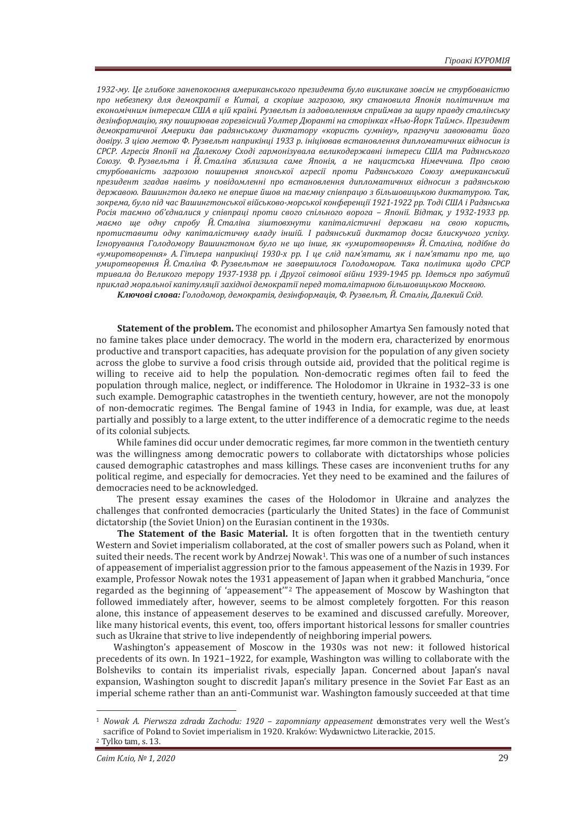1932-му. Це глибоке занепокоєння американського президента було викликане зовсім не стурбованістю про небезпеку для демократії в Китаї, а скоріше загрозою, яку становила Японія політичним та економічним інтересам США в цій країні. Рузвельт із задоволенням сприймав за щиру правду сталінську дезінформацію, яку поширював горезвісний Уолтер Дюранті на сторінках «Нью-Йорк Таймс». Президент демократичної Америки дав радянському диктатору «користь сумніву», прагнучи завоювати його довіру. З цією метою Ф. Рузвельт наприкінці 1933 р. ініціював встановлення дипломатичних відносин із СРСР. Агресія Японії на Далекому Сході гармонізувала великодержавні інтереси США та Радянського Союзу. Ф. Рузвельта і Й. Сталіна зблизила саме Японія, а не нацистська Німеччина. Про свою стурбованість загрозою поширення японської агресії проти Радянського Союзу американський президент згадав навіть у повідомленні про встановлення дипломатичних відносин з радянською державою. Вашингтон далеко не вперше йшов на таємну співпрацю з більшовицькою диктатурою. Так.  $3$ окрема, було під час Вашингтонської військово-морської конференції 1921-1922 рр. Тоді США і Радянська Росія таємно об'єдналися у співпраці проти свого спільного ворога – Японії. Відтак, у 1932-1933 рр. маємо ще одну спробу Й. Сталіна зіштовхнути капіталістичні держави на свою користь, протиставити одну капіталістичну владу іншій. І радянський диктатор досяг блискучого успіху. Iгнорування Голодомору Вашингтоном було не шо iнше, як «умиротворення» Й. Сталіна, подібне до «умиротворення» А. Гітлера наприкінці 1930-х рр. І це слід пам'ятати, як і пам'ятати про те, що умиротворення Й. Сталіна Ф. Рузвельтом не завершилося Голодомором. Така політика щодо СРСР  $\,$ тривала до Великого терору 1937-1938 рр. і Другої світової війни 1939-1945 рр. Ідеться про забутий приклад моральної капітуляції західної демократії перед тоталітарною більшовшькою Москвою.

Ключові слова: Голодомор, демократія, дезінформація, Ф. Рузвельт, Й. Сталін, Далекий Схід.

**Statement of the problem.** The economist and philosopher Amartya Sen famously noted that no famine takes place under democracy. The world in the modern era, characterized by enormous productive and transport capacities, has adequate provision for the population of any given society across the globe to survive a food crisis through outside aid, provided that the political regime is willing to receive aid to help the population. Non-democratic regimes often fail to feed the population through malice, neglect, or indifference. The Holodomor in Ukraine in 1932–33 is one such example. Demographic catastrophes in the twentieth century, however, are not the monopoly of non-democratic regimes. The Bengal famine of 1943 in India, for example, was due, at least partially and possibly to a large extent, to the utter indifference of a democratic regime to the needs of its colonial subjects.

While famines did occur under democratic regimes, far more common in the twentieth century was the willingness among democratic powers to collaborate with dictatorships whose policies caused demographic catastrophes and mass killings. These cases are inconvenient truths for any political regime, and especially for democracies. Yet they need to be examined and the failures of democracies need to be acknowledged.

The present essay examines the cases of the Holodomor in Ukraine and analyzes the challenges that confronted democracies (particularly the United States) in the face of Communist dictatorship (the Soviet Union) on the Eurasian continent in the 1930s.

The Statement of the Basic Material. It is often forgotten that in the twentieth century Western and Soviet imperialism collaborated, at the cost of smaller powers such as Poland, when it suited their needs. The recent work by Andrzej Nowak<sup>1</sup>. This was one of a number of such instances of appeasement of imperialist aggression prior to the famous appeasement of the Nazis in 1939. For example, Professor Nowak notes the 1931 appeasement of Japan when it grabbed Manchuria, "once regarded as the beginning of 'appeasement'"2 The appeasement of Moscow by Washington that followed immediately after, however, seems to be almost completely forgotten. For this reason alone, this instance of appeasement deserves to be examined and discussed carefully. Moreover, like many historical events, this event, too, offers important historical lessons for smaller countries such as Ukraine that strive to live independently of neighboring imperial powers.

Washington's appeasement of Moscow in the 1930s was not new: it followed historical precedents of its own. In 1921–1922, for example, Washington was willing to collaborate with the Bolsheviks to contain its imperialist rivals, especially Japan. Concerned about Japan's naval expansion, Washington sought to discredit Japan's military presence in the Soviet Far East as an imperial scheme rather than an anti-Communist war. Washington famously succeeded at that time

<sup>&</sup>lt;sup>1</sup> Nowak A. Pierwsza zdrada Zachodu: 1920 – zapomniany appeasement demonstrates very well the West's sacrifice of Poland to Soviet imperialism in 1920. Kraków: Wydawnictwo Literackie, 2015. 2 Tylko tam, s. 13.

*Ceim Knio, Nº 1, 2020* 29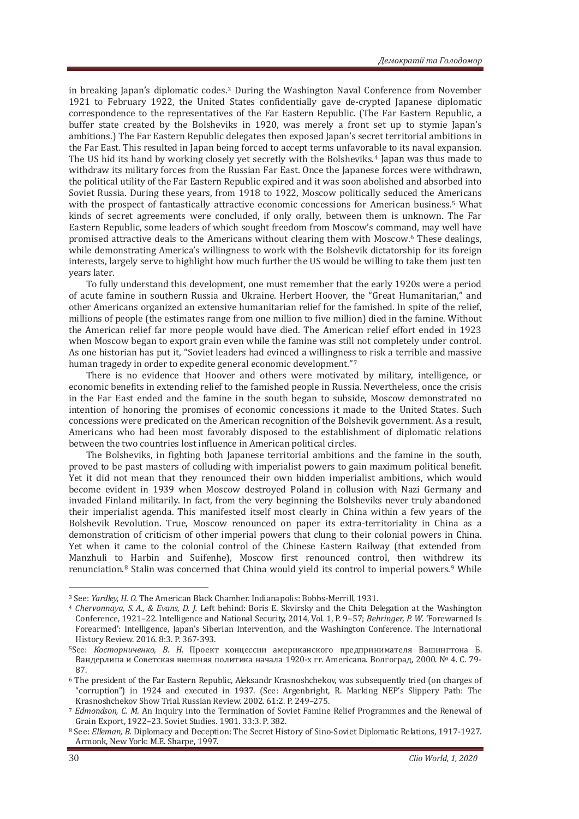in breaking Japan's diplomatic codes.3 During the Washington Naval Conference from November 1921 to February 1922, the United States confidentially gave de-crypted Japanese diplomatic correspondence to the representatives of the Far Eastern Republic. (The Far Eastern Republic, a buffer state created by the Bolsheviks in 1920, was merely a front set up to stymie Japan's ambitions.) The Far Eastern Republic delegates then exposed Japan's secret territorial ambitions in the Far East. This resulted in Japan being forced to accept terms unfavorable to its naval expansion. The US hid its hand by working closely yet secretly with the Bolsheviks.4 Japan was thus made to withdraw its military forces from the Russian Far East. Once the Japanese forces were withdrawn, the political utility of the Far Eastern Republic expired and it was soon abolished and absorbed into Soviet Russia. During these years, from 1918 to 1922, Moscow politically seduced the Americans with the prospect of fantastically attractive economic concessions for American business.<sup>5</sup> What kinds of secret agreements were concluded, if only orally, between them is unknown. The Far Eastern Republic, some leaders of which sought freedom from Moscow's command, may well have promised attractive deals to the Americans without clearing them with Moscow.6 These dealings, while demonstrating America's willingness to work with the Bolshevik dictatorship for its foreign interests, largely serve to highlight how much further the US would be willing to take them just ten years later.

To fully understand this development, one must remember that the early 1920s were a period of acute famine in southern Russia and Ukraine. Herbert Hoover, the "Great Humanitarian," and other Americans organized an extensive humanitarian relief for the famished. In spite of the relief, millions of people (the estimates range from one million to five million) died in the famine. Without the American relief far more people would have died. The American relief effort ended in 1923 when Moscow began to export grain even while the famine was still not completely under control. As one historian has put it, "Soviet leaders had evinced a willingness to risk a terrible and massive human tragedy in order to expedite general economic development."7

There is no evidence that Hoover and others were motivated by military, intelligence, or economic benefits in extending relief to the famished people in Russia. Nevertheless, once the crisis in the Far East ended and the famine in the south began to subside, Moscow demonstrated no intention of honoring the promises of economic concessions it made to the United States. Such concessions were predicated on the American recognition of the Bolshevik government. As a result, Americans who had been most favorably disposed to the establishment of diplomatic relations between the two countries lost influence in American political circles.

The Bolsheviks, in fighting both Japanese territorial ambitions and the famine in the south, proved to be past masters of colluding with imperialist powers to gain maximum political benefit. Yet it did not mean that they renounced their own hidden imperialist ambitions, which would become evident in 1939 when Moscow destroyed Poland in collusion with Nazi Germany and invaded Finland militarily. In fact, from the very beginning the Bolsheviks never truly abandoned their imperialist agenda. This manifested itself most clearly in China within a few years of the Bolshevik Revolution. True, Moscow renounced on paper its extra-territoriality in China as a demonstration of criticism of other imperial powers that clung to their colonial powers in China. Yet when it came to the colonial control of the Chinese Eastern Railway (that extended from Manzhuli to Harbin and Suifenhe), Moscow first renounced control, then withdrew its renunciation.8 Stalin was concerned that China would yield its control to imperial powers.9 While

<sup>&</sup>lt;sup>3</sup> See: *Yardley, H. O.* The American Black Chamber. Indianapolis: Bobbs-Merrill, 1931.<br><sup>4</sup> *Chervonnaya, S. A., & Evans, D. J.* Left behind: Boris E. Skvirsky and the Chita Delegation at the Washington Conference, 1921–22. Intelligence and National Security, 2014, Vol. 1, P. 9–57; *Behringer, P. W.* 'Forewarned Is Forearmed': Intelligence, Japan's Siberian Intervention, and the Washington Conference. The International History Review. 2016. 8:3. P. 367-393.

<sup>&</sup>lt;sup>5</sup>See: *Косторниченко*, *В. Н.* Проект концессии американского предпринимателя Вашингтона Б. Вандерлипа и Советская внешняя политика начала 1920-х гг. Americana. Волгоград, 2000. № 4. С. 79-87.

<sup>6</sup> The president of the Far Eastern Republic, Aleksandr Krasnoshchekov, was subsequently tried (on charges of "corruption") in 1924 and executed in 1937. (See: Argenbright, R. Marking NEP's Slippery Path: The Krasnoshchekov Show Trial. Russian Review. 2002. 61:2. P. 249–275.<br>*7 Edmondson, C. M.* An Inquiry into the Termination of Soviet Famine Relief Programmes and the Renewal of

Grain Export, 1922–23. Soviet Studies. 1981. 33:3. P. 382.<br><sup>8</sup> See: *Elleman, B.* Diplomacy and Deception: The Secret History of Sino-Soviet Diplomatic Relations, 1917-1927.

Armonk, New York: M.E. Sharpe, 1997.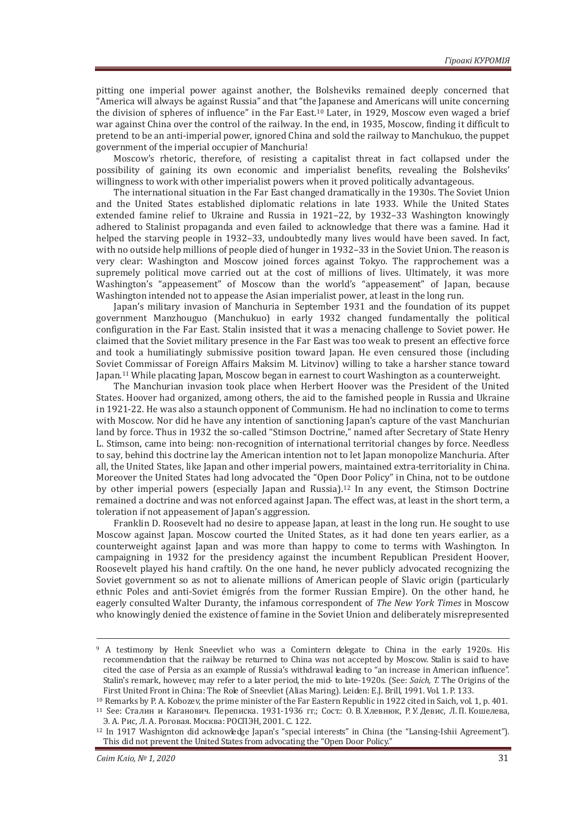pitting one imperial power against another, the Bolsheviks remained deeply concerned that "America will always be against Russia" and that "the Japanese and Americans will unite concerning the division of spheres of influence" in the Far East.10 Later, in 1929, Moscow even waged a brief war against China over the control of the railway. In the end, in 1935, Moscow, finding it difficult to pretend to be an anti-imperial power, ignored China and sold the railway to Manchukuo, the puppet government of the imperial occupier of Manchuria!

Moscow's rhetoric, therefore, of resisting a capitalist threat in fact collapsed under the possibility of gaining its own economic and imperialist benefits, revealing the Bolsheviks' willingness to work with other imperialist powers when it proved politically advantageous.

The international situation in the Far East changed dramatically in the 1930s. The Soviet Union and the United States established diplomatic relations in late 1933. While the United States extended famine relief to Ukraine and Russia in 1921–22, by 1932–33 Washington knowingly adhered to Stalinist propaganda and even failed to acknowledge that there was a famine. Had it helped the starving people in 1932–33, undoubtedly many lives would have been saved. In fact, with no outside help millions of people died of hunger in 1932–33 in the Soviet Union. The reason is very clear: Washington and Moscow joined forces against Tokyo. The rapprochement was a supremely political move carried out at the cost of millions of lives. Ultimately, it was more Washington's "appeasement" of Moscow than the world's "appeasement" of Japan, because Washington intended not to appease the Asian imperialist power, at least in the long run.

Japan's military invasion of Manchuria in September 1931 and the foundation of its puppet government Manzhouguo (Manchukuo) in early 1932 changed fundamentally the political configuration in the Far East. Stalin insisted that it was a menacing challenge to Soviet power. He claimed that the Soviet military presence in the Far East was too weak to present an effective force and took a humiliatingly submissive position toward Japan. He even censured those (including Soviet Commissar of Foreign Affairs Maksim M. Litvinov) willing to take a harsher stance toward Japan.11 While placating Japan, Moscow began in earnest to court Washington as a counterweight.

The Manchurian invasion took place when Herbert Hoover was the President of the United States. Hoover had organized, among others, the aid to the famished people in Russia and Ukraine in 1921-22. He was also a staunch opponent of Communism. He had no inclination to come to terms with Moscow. Nor did he have any intention of sanctioning Japan's capture of the vast Manchurian land by force. Thus in 1932 the so-called "Stimson Doctrine," named after Secretary of State Henry L. Stimson, came into being: non-recognition of international territorial changes by force. Needless to say, behind this doctrine lay the American intention not to let Japan monopolize Manchuria. After all, the United States, like Japan and other imperial powers, maintained extra-territoriality in China. Moreover the United States had long advocated the "Open Door Policy" in China, not to be outdone by other imperial powers (especially Japan and Russia).12 In any event, the Stimson Doctrine remained a doctrine and was not enforced against Japan. The effect was, at least in the short term, a toleration if not appeasement of Japan's aggression.

Franklin D. Roosevelt had no desire to appease Japan, at least in the long run. He sought to use Moscow against Japan. Moscow courted the United States, as it had done ten years earlier, as a counterweight against Japan and was more than happy to come to terms with Washington. In campaigning in 1932 for the presidency against the incumbent Republican President Hoover, Roosevelt played his hand craftily. On the one hand, he never publicly advocated recognizing the Soviet government so as not to alienate millions of American people of Slavic origin (particularly ethnic Poles and anti-Soviet émigrés from the former Russian Empire). On the other hand, he eagerly consulted Walter Duranty, the infamous correspondent of The New York Times in Moscow who knowingly denied the existence of famine in the Soviet Union and deliberately misrepresented

<sup>9</sup> A testimony by Henk Sneevliet who was a Comintern delegate to China in the early 1920s. His recommendation that the railway be returned to China was not accepted by Moscow. Stalin is said to have cited the case of Persia as an example of Russia's withdrawal leading to "an increase in American influence". Stalin's remark, however, may refer to a later period, the mid- to late-1920s. (See: *Saich*, T. The Origins of the First United Front in China: The Role of Sneevliet (Alias Maring). Leiden: E.J. Brill, 1991. Vol. 1. P. 133.

<sup>10</sup> Remarks by P. A. Kobozev, the prime minister of the Far Eastern Republic in 1922 cited in Saich, vol. 1, p. 401. 11 See: Сталин и Каганович. Переписка. 1931-1936 гг.; Сост.: О. В. Хлевнюк, Р. У. Девис, Л. П. Кошелева,

Э. А. Рис, Л. А. Роговая. Москва: РОСПЭН, 2001. С. 122.<br><sup>12</sup> In 1917 Washignton did acknowledge Japan's "special interests" in China (the "Lansing-Ishii Agreement"). This did not prevent the United States from advocating the "Open Door Policy."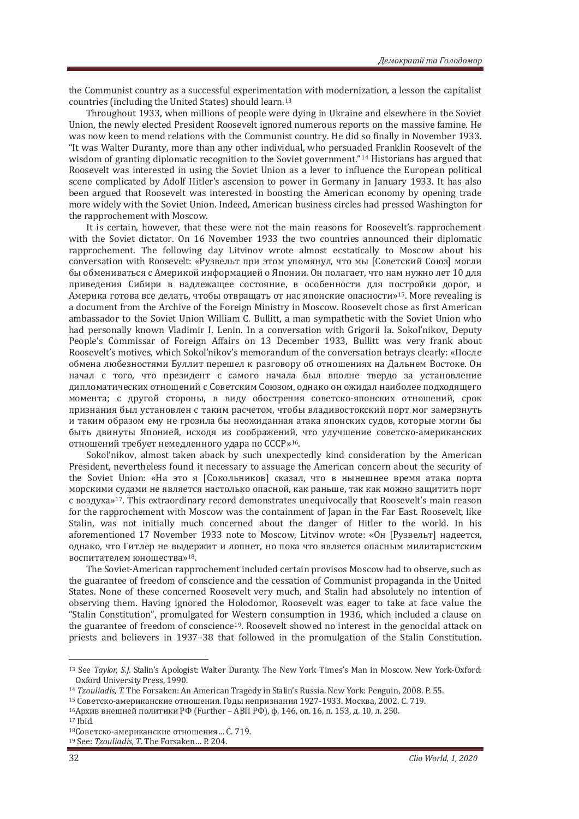the Communist country as a successful experimentation with modernization, a lesson the capitalist countries (including the United States) should learn.13

Throughout 1933, when millions of people were dying in Ukraine and elsewhere in the Soviet Union, the newly elected President Roosevelt ignored numerous reports on the massive famine. He was now keen to mend relations with the Communist country. He did so finally in November 1933. "It was Walter Duranty, more than any other individual, who persuaded Franklin Roosevelt of the wisdom of granting diplomatic recognition to the Soviet government."14 Historians has argued that Roosevelt was interested in using the Soviet Union as a lever to influence the European political scene complicated by Adolf Hitler's ascension to power in Germany in January 1933. It has also been argued that Roosevelt was interested in boosting the American economy by opening trade more widely with the Soviet Union. Indeed, American business circles had pressed Washington for the rapprochement with Moscow.

It is certain, however, that these were not the main reasons for Roosevelt's rapprochement with the Soviet dictator. On 16 November 1933 the two countries announced their diplomatic rapprochement. The following day Litvinov wrote almost ecstatically to Moscow about his conversation with Roosevelt: «Рузвельт при этом упомянул, что мы [Советский Союз] могли бы обмениваться с Америкой информацией о Японии. Он полагает, что нам нужно лет 10 для приведения Сибири в надлежащее состояние, в особенности для постройки дорог, и Америка готова все лелать, чтобы отврашать от нас японские опасности»<sup>15</sup>. More revealing is a document from the Archive of the Foreign Ministry in Moscow. Roosevelt chose as first American ambassador to the Soviet Union William C. Bullitt, a man sympathetic with the Soviet Union who had personally known Vladimir I. Lenin. In a conversation with Grigorii Ia. Sokol'nikov, Deputy People's Commissar of Foreign Affairs on 13 December 1933, Bullitt was very frank about Roosevelt's motives, which Sokol'nikov's memorandum of the conversation betrays clearly: «После обмена любезностями Буллит перешел к разговору об отношениях на Дальнем Востоке. Он начал с того, что президент с самого начала был вполне твердо за установление дипломатических отношений с Советским Союзом, однако он ожидал наиболее подходящего момента; с другой стороны, в виду обострения советско-японских отношений, срок признания был установлен с таким расчетом, чтобы владивостокский порт мог замерзнуть и таким образом ему не грозила бы неожиданная атака японских судов, которые могли бы быть двинуты Японией, исходя из соображений, что улучшение советско-американских отношений требует немедленного удара по СССР»<sup>16</sup>.

Sokol'nikov, almost taken aback by such unexpectedly kind consideration by the American President, nevertheless found it necessary to assuage the American concern about the security of the Soviet Union: «На это я [Сокольников] сказал, что в нынешнее время атака порта морскими судами не является настолько опасной, как раньше, так как можно зашитить порт ˔˅ˑˊˇ˖˘˃ǽ17. This extraordinary record demonstrates unequivocally that Roosevelt's main reason for the rapprochement with Moscow was the containment of Japan in the Far East. Roosevelt, like Stalin, was not initially much concerned about the danger of Hitler to the world. In his aforementioned 17 November 1933 note to Moscow, Litvinov wrote: «Он [Рузвельт] надеется, однако, что Гитлер не выдержит и лопнет, но пока что является опасным милитаристским воспитателем юношества»<sup>18</sup>.

The Soviet-American rapprochement included certain provisos Moscow had to observe, such as the guarantee of freedom of conscience and the cessation of Communist propaganda in the United States. None of these concerned Roosevelt very much, and Stalin had absolutely no intention of observing them. Having ignored the Holodomor, Roosevelt was eager to take at face value the "Stalin Constitution", promulgated for Western consumption in 1936, which included a clause on the guarantee of freedom of conscience19. Roosevelt showed no interest in the genocidal attack on priests and believers in 1937–38 that followed in the promulgation of the Stalin Constitution.

<sup>13</sup> See *Taylor, S.J. Stalin's Apologist: Walter Duranty. The New York Times's Man in Moscow. New York-Oxford:* Oxford University Press, 1990.

<sup>14</sup> *Tzouliadis, T.* The Forsaken: An American Tragedy in Stalin's Russia. New York: Penguin, 2008. P. 55.

<sup>&</sup>lt;sup>15</sup> Советско-американские отношения. Годы непризнания 1927-1933. Москва, 2002. С. 719.

<sup>&</sup>lt;sup>16</sup>Архив внешней политики РФ (Further – АВП РФ), ф. 146, оп. 16, п. 153, д. 10, л. 250.

<sup>17</sup> Ibid.

<sup>18</sup> Советско-американские отношения... С. 719.

<sup>&</sup>lt;sup>19</sup> See: *Tzouliadis*, *T*. The Forsaken... P. 204.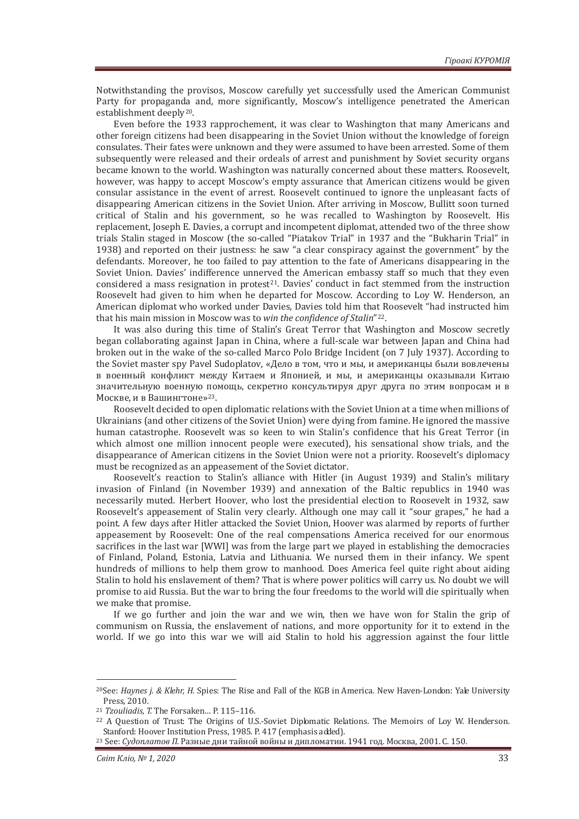Notwithstanding the provisos, Moscow carefully yet successfully used the American Communist Party for propaganda and, more significantly, Moscow's intelligence penetrated the American establishment deeply20.

Even before the 1933 rapprochement, it was clear to Washington that many Americans and other foreign citizens had been disappearing in the Soviet Union without the knowledge of foreign consulates. Their fates were unknown and they were assumed to have been arrested. Some of them subsequently were released and their ordeals of arrest and punishment by Soviet security organs became known to the world. Washington was naturally concerned about these matters. Roosevelt, however, was happy to accept Moscow's empty assurance that American citizens would be given consular assistance in the event of arrest. Roosevelt continued to ignore the unpleasant facts of disappearing American citizens in the Soviet Union. After arriving in Moscow, Bullitt soon turned critical of Stalin and his government, so he was recalled to Washington by Roosevelt. His replacement, Joseph E. Davies, a corrupt and incompetent diplomat, attended two of the three show trials Stalin staged in Moscow (the so-called "Piatakov Trial" in 1937 and the "Bukharin Trial" in 1938) and reported on their justness: he saw "a clear conspiracy against the government" by the defendants. Moreover, he too failed to pay attention to the fate of Americans disappearing in the Soviet Union. Davies' indifference unnerved the American embassy staff so much that they even considered a mass resignation in protest $2<sup>1</sup>$ . Davies' conduct in fact stemmed from the instruction Roosevelt had given to him when he departed for Moscow. According to Loy W. Henderson, an American diplomat who worked under Davies, Davies told him that Roosevelt "had instructed him that his main mission in Moscow was to win the confidence of Stalin"<sup>22</sup>.

It was also during this time of Stalin's Great Terror that Washington and Moscow secretly began collaborating against Japan in China, where a full-scale war between Japan and China had broken out in the wake of the so-called Marco Polo Bridge Incident (on 7 July 1937). According to the Soviet master spy Pavel Sudoplatov, «Дело в том, что и мы, и американцы были вовлечены в военный конфликт между Китаем и Японией, и мы, и американцы оказывали Китаю значительную военную помощь, секретно консультируя друг друга по этим вопросам и в Москве, и в Вашингтоне»<sup>23</sup>.

Roosevelt decided to open diplomatic relations with the Soviet Union at a time when millions of Ukrainians (and other citizens of the Soviet Union) were dying from famine. He ignored the massive human catastrophe. Roosevelt was so keen to win Stalin's confidence that his Great Terror (in which almost one million innocent people were executed), his sensational show trials, and the disappearance of American citizens in the Soviet Union were not a priority. Roosevelt's diplomacy must be recognized as an appeasement of the Soviet dictator.

Roosevelt's reaction to Stalin's alliance with Hitler (in August 1939) and Stalin's military invasion of Finland (in November 1939) and annexation of the Baltic republics in 1940 was necessarily muted. Herbert Hoover, who lost the presidential election to Roosevelt in 1932, saw Roosevelt's appeasement of Stalin very clearly. Although one may call it "sour grapes," he had a point. A few days after Hitler attacked the Soviet Union, Hoover was alarmed by reports of further appeasement by Roosevelt: One of the real compensations America received for our enormous sacrifices in the last war [WWI] was from the large part we played in establishing the democracies of Finland, Poland, Estonia, Latvia and Lithuania. We nursed them in their infancy. We spent hundreds of millions to help them grow to manhood. Does America feel quite right about aiding Stalin to hold his enslavement of them? That is where power politics will carry us. No doubt we will promise to aid Russia. But the war to bring the four freedoms to the world will die spiritually when we make that promise.

If we go further and join the war and we win, then we have won for Stalin the grip of communism on Russia, the enslavement of nations, and more opportunity for it to extend in the world. If we go into this war we will aid Stalin to hold his aggression against the four little

<sup>&</sup>lt;sup>20</sup>See: *Haynes i. & Klehr, H.* Spies: The Rise and Fall of the KGB in America. New Haven-London: Yale University Press, 2010.<br><sup>21</sup> Tzouliadis, T. The Forsaken... P. 115-116.

<sup>&</sup>lt;sup>22</sup> A Question of Trust: The Origins of U.S.-Soviet Diplomatic Relations. The Memoirs of Loy W. Henderson. Stanford: Hoover Institution Press, 1985. Р. 417 (emphasis added).<br><sup>23</sup> See: *Судоплатов П.* Разные дни тайной войны и дипломатии. 1941 год. Москва, 2001. С. 150.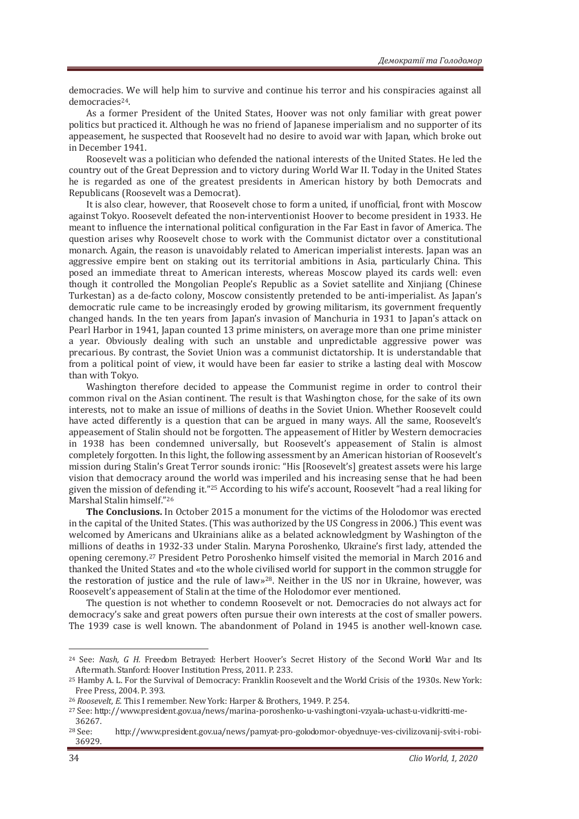democracies. We will help him to survive and continue his terror and his conspiracies against all democracies<sup>24</sup>.

As a former President of the United States, Hoover was not only familiar with great power politics but practiced it. Although he was no friend of Japanese imperialism and no supporter of its appeasement, he suspected that Roosevelt had no desire to avoid war with Japan, which broke out in December 1941.

Roosevelt was a politician who defended the national interests of the United States. He led the country out of the Great Depression and to victory during World War II. Today in the United States he is regarded as one of the greatest presidents in American history by both Democrats and Republicans (Roosevelt was a Democrat).

It is also clear, however, that Roosevelt chose to form a united, if unofficial, front with Moscow against Tokyo. Roosevelt defeated the non-interventionist Hoover to become president in 1933. He meant to influence the international political configuration in the Far East in favor of America. The question arises why Roosevelt chose to work with the Communist dictator over a constitutional monarch. Again, the reason is unavoidably related to American imperialist interests. Japan was an aggressive empire bent on staking out its territorial ambitions in Asia, particularly China. This posed an immediate threat to American interests, whereas Moscow played its cards well: even though it controlled the Mongolian People's Republic as a Soviet satellite and Xinjiang (Chinese Turkestan) as a de-facto colony, Moscow consistently pretended to be anti-imperialist. As Japan's democratic rule came to be increasingly eroded by growing militarism, its government frequently changed hands. In the ten years from Japan's invasion of Manchuria in 1931 to Japan's attack on Pearl Harbor in 1941, Japan counted 13 prime ministers, on average more than one prime minister a year. Obviously dealing with such an unstable and unpredictable aggressive power was precarious. By contrast, the Soviet Union was a communist dictatorship. It is understandable that from a political point of view, it would have been far easier to strike a lasting deal with Moscow than with Tokyo.

Washington therefore decided to appease the Communist regime in order to control their common rival on the Asian continent. The result is that Washington chose, for the sake of its own interests, not to make an issue of millions of deaths in the Soviet Union. Whether Roosevelt could have acted differently is a question that can be argued in many ways. All the same, Roosevelt's appeasement of Stalin should not be forgotten. The appeasement of Hitler by Western democracies in 1938 has been condemned universally, but Roosevelt's appeasement of Stalin is almost completely forgotten. In this light, the following assessment by an American historian of Roosevelt's mission during Stalin's Great Terror sounds ironic: "His [Roosevelt's] greatest assets were his large vision that democracy around the world was imperiled and his increasing sense that he had been given the mission of defending it."25 According to his wife's account, Roosevelt "had a real liking for Marshal Stalin himself."26

The Conclusions. In October 2015 a monument for the victims of the Holodomor was erected in the capital of the United States. (This was authorized by the US Congress in 2006.) This event was welcomed by Americans and Ukrainians alike as a belated acknowledgment by Washington of the millions of deaths in 1932-33 under Stalin. Maryna Poroshenko, Ukraine's first lady, attended the opening ceremony.27 President Petro Poroshenko himself visited the memorial in March 2016 and thanked the United States and «to the whole civilised world for support in the common struggle for the restoration of justice and the rule of law»<sup>28</sup>. Neither in the US nor in Ukraine, however, was Roosevelt's appeasement of Stalin at the time of the Holodomor ever mentioned.

The question is not whether to condemn Roosevelt or not. Democracies do not always act for democracy's sake and great powers often pursue their own interests at the cost of smaller powers. The 1939 case is well known. The abandonment of Poland in 1945 is another well-known case.

<sup>24</sup> See: *ǡ Ǥ Ǥ* Freedom Betrayed: Herbert Hoover's Secret History of the Second World War and Its Aftermath. Stanford: Hoover Institution Press, 2011. P. 233.<br><sup>25</sup> Hamby A. L. For the Survival of Democracy: Franklin Roosevelt and the World Crisis of the 1930s. New York:

Free Press, 2004. P. 393.

<sup>&</sup>lt;sup>26</sup> *Roosevelt, E.* This I remember. New York: Harper & Brothers, 1949. P. 254.<br><sup>27</sup> See: http://www.president.gov.ua/news/marina-poroshenko-u-vashingtoni-vzyala-uchast-u-vidkritti-me-36267.

<sup>28</sup> See: http://www.president.gov.ua/news/pamyat-pro-golodomor-obyednuye-ves-civilizovanij-svit-i-robi-36929.